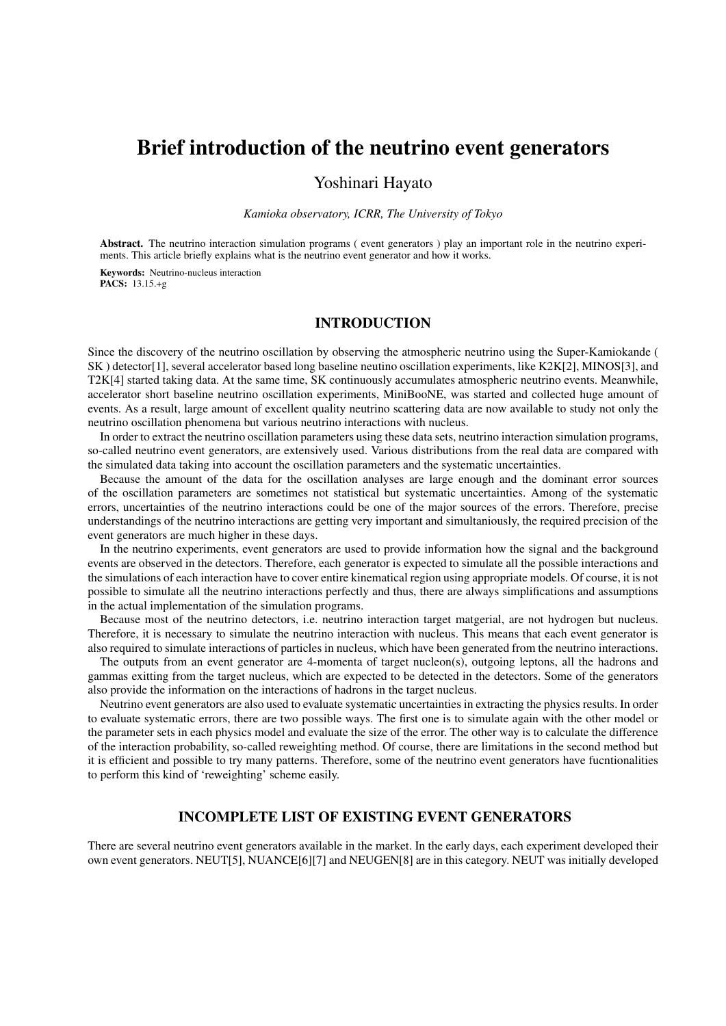# Brief introduction of the neutrino event generators

## Yoshinari Hayato

*Kamioka observatory, ICRR, The University of Tokyo*

Abstract. The neutrino interaction simulation programs ( event generators ) play an important role in the neutrino experiments. This article briefly explains what is the neutrino event generator and how it works.

Keywords: Neutrino-nucleus interaction PACS: 13.15.+g

# INTRODUCTION

Since the discovery of the neutrino oscillation by observing the atmospheric neutrino using the Super-Kamiokande ( SK) detector[1], several accelerator based long baseline neutino oscillation experiments, like K2K[2], MINOS[3], and T2K[4] started taking data. At the same time, SK continuously accumulates atmospheric neutrino events. Meanwhile, accelerator short baseline neutrino oscillation experiments, MiniBooNE, was started and collected huge amount of events. As a result, large amount of excellent quality neutrino scattering data are now available to study not only the neutrino oscillation phenomena but various neutrino interactions with nucleus.

In order to extract the neutrino oscillation parameters using these data sets, neutrino interaction simulation programs, so-called neutrino event generators, are extensively used. Various distributions from the real data are compared with the simulated data taking into account the oscillation parameters and the systematic uncertainties.

Because the amount of the data for the oscillation analyses are large enough and the dominant error sources of the oscillation parameters are sometimes not statistical but systematic uncertainties. Among of the systematic errors, uncertainties of the neutrino interactions could be one of the major sources of the errors. Therefore, precise understandings of the neutrino interactions are getting very important and simultaniously, the required precision of the event generators are much higher in these days.

In the neutrino experiments, event generators are used to provide information how the signal and the background events are observed in the detectors. Therefore, each generator is expected to simulate all the possible interactions and the simulations of each interaction have to cover entire kinematical region using appropriate models. Of course, it is not possible to simulate all the neutrino interactions perfectly and thus, there are always simplifications and assumptions in the actual implementation of the simulation programs.

Because most of the neutrino detectors, i.e. neutrino interaction target matgerial, are not hydrogen but nucleus. Therefore, it is necessary to simulate the neutrino interaction with nucleus. This means that each event generator is also required to simulate interactions of particles in nucleus, which have been generated from the neutrino interactions.

The outputs from an event generator are 4-momenta of target nucleon(s), outgoing leptons, all the hadrons and gammas exitting from the target nucleus, which are expected to be detected in the detectors. Some of the generators also provide the information on the interactions of hadrons in the target nucleus.

Neutrino event generators are also used to evaluate systematic uncertainties in extracting the physics results. In order to evaluate systematic errors, there are two possible ways. The first one is to simulate again with the other model or the parameter sets in each physics model and evaluate the size of the error. The other way is to calculate the difference of the interaction probability, so-called reweighting method. Of course, there are limitations in the second method but it is efficient and possible to try many patterns. Therefore, some of the neutrino event generators have fucntionalities to perform this kind of 'reweighting' scheme easily.

### INCOMPLETE LIST OF EXISTING EVENT GENERATORS

There are several neutrino event generators available in the market. In the early days, each experiment developed their own event generators. NEUT[5], NUANCE[6][7] and NEUGEN[8] are in this category. NEUT was initially developed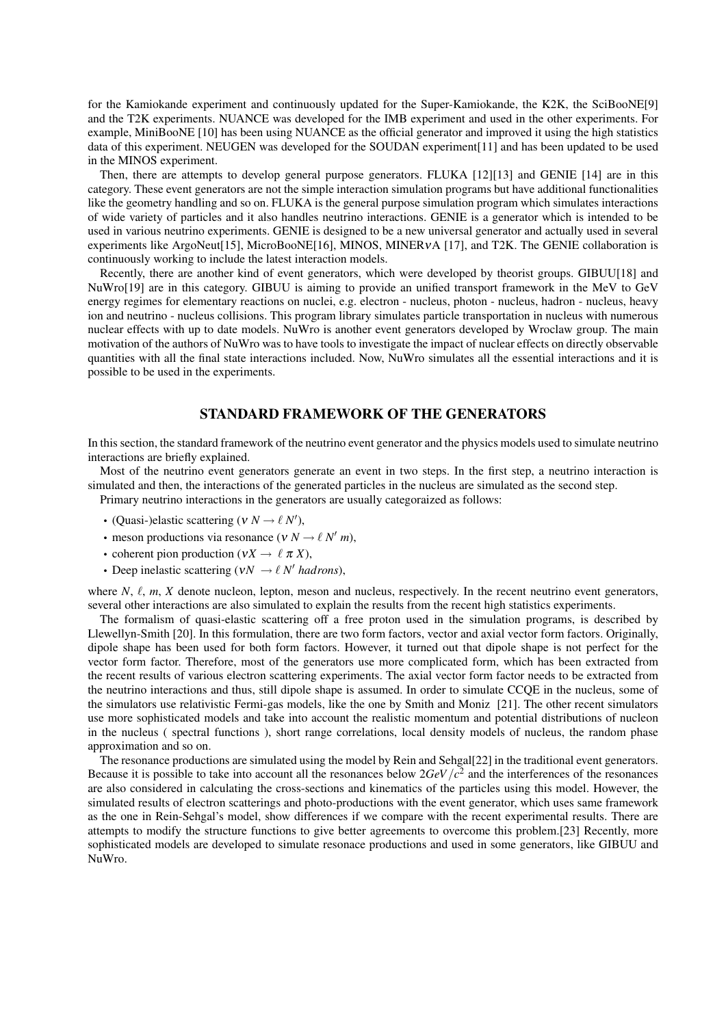for the Kamiokande experiment and continuously updated for the Super-Kamiokande, the K2K, the SciBooNE[9] and the T2K experiments. NUANCE was developed for the IMB experiment and used in the other experiments. For example, MiniBooNE [10] has been using NUANCE as the official generator and improved it using the high statistics data of this experiment. NEUGEN was developed for the SOUDAN experiment[11] and has been updated to be used in the MINOS experiment.

Then, there are attempts to develop general purpose generators. FLUKA [12][13] and GENIE [14] are in this category. These event generators are not the simple interaction simulation programs but have additional functionalities like the geometry handling and so on. FLUKA is the general purpose simulation program which simulates interactions of wide variety of particles and it also handles neutrino interactions. GENIE is a generator which is intended to be used in various neutrino experiments. GENIE is designed to be a new universal generator and actually used in several experiments like ArgoNeut[15], MicroBooNE[16], MINOS, MINERVA [17], and T2K. The GENIE collaboration is continuously working to include the latest interaction models.

Recently, there are another kind of event generators, which were developed by theorist groups. GIBUU[18] and NuWro[19] are in this category. GIBUU is aiming to provide an unified transport framework in the MeV to GeV energy regimes for elementary reactions on nuclei, e.g. electron - nucleus, photon - nucleus, hadron - nucleus, heavy ion and neutrino - nucleus collisions. This program library simulates particle transportation in nucleus with numerous nuclear effects with up to date models. NuWro is another event generators developed by Wroclaw group. The main motivation of the authors of NuWro was to have tools to investigate the impact of nuclear effects on directly observable quantities with all the final state interactions included. Now, NuWro simulates all the essential interactions and it is possible to be used in the experiments.

#### STANDARD FRAMEWORK OF THE GENERATORS

In this section, the standard framework of the neutrino event generator and the physics models used to simulate neutrino interactions are briefly explained.

Most of the neutrino event generators generate an event in two steps. In the first step, a neutrino interaction is simulated and then, the interactions of the generated particles in the nucleus are simulated as the second step.

Primary neutrino interactions in the generators are usually categoraized as follows:

- (Quasi-)elastic scattering ( $V N \rightarrow \ell N'$ ),
- meson productions via resonance  $(V N \rightarrow \ell N' m)$ ,
- coherent pion production ( $VX \to \ell \pi X$ ),
- Deep inelastic scattering ( $vN \rightarrow \ell N'$  hadrons),

where  $N, \ell, m, X$  denote nucleon, lepton, meson and nucleus, respectively. In the recent neutrino event generators, several other interactions are also simulated to explain the results from the recent high statistics experiments.

The formalism of quasi-elastic scattering off a free proton used in the simulation programs, is described by Llewellyn-Smith [20]. In this formulation, there are two form factors, vector and axial vector form factors. Originally, dipole shape has been used for both form factors. However, it turned out that dipole shape is not perfect for the vector form factor. Therefore, most of the generators use more complicated form, which has been extracted from the recent results of various electron scattering experiments. The axial vector form factor needs to be extracted from the neutrino interactions and thus, still dipole shape is assumed. In order to simulate CCQE in the nucleus, some of the simulators use relativistic Fermi-gas models, like the one by Smith and Moniz [21]. The other recent simulators use more sophisticated models and take into account the realistic momentum and potential distributions of nucleon in the nucleus ( spectral functions ), short range correlations, local density models of nucleus, the random phase approximation and so on.

The resonance productions are simulated using the model by Rein and Sehgal[22] in the traditional event generators. Because it is possible to take into account all the resonances below  $2GeV/c^2$  and the interferences of the resonances are also considered in calculating the cross-sections and kinematics of the particles using this model. However, the simulated results of electron scatterings and photo-productions with the event generator, which uses same framework as the one in Rein-Sehgal's model, show differences if we compare with the recent experimental results. There are attempts to modify the structure functions to give better agreements to overcome this problem.[23] Recently, more sophisticated models are developed to simulate resonace productions and used in some generators, like GIBUU and NuWro.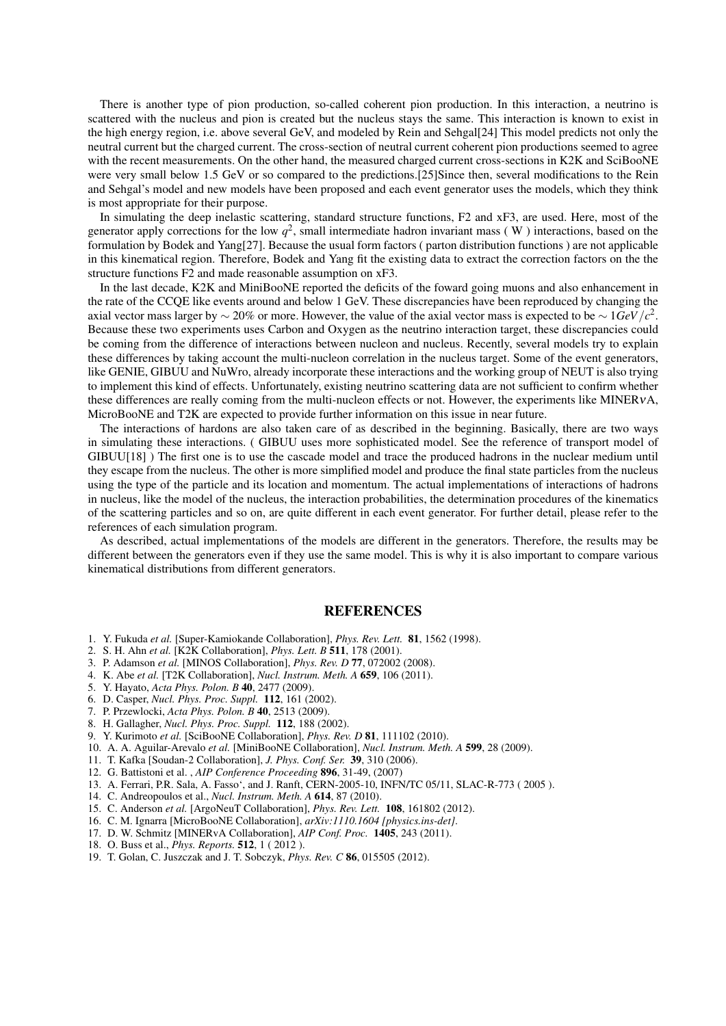There is another type of pion production, so-called coherent pion production. In this interaction, a neutrino is scattered with the nucleus and pion is created but the nucleus stays the same. This interaction is known to exist in the high energy region, i.e. above several GeV, and modeled by Rein and Sehgal[24] This model predicts not only the neutral current but the charged current. The cross-section of neutral current coherent pion productions seemed to agree with the recent measurements. On the other hand, the measured charged current cross-sections in K2K and SciBooNE were very small below 1.5 GeV or so compared to the predictions.[25]Since then, several modifications to the Rein and Sehgal's model and new models have been proposed and each event generator uses the models, which they think is most appropriate for their purpose.

In simulating the deep inelastic scattering, standard structure functions, F2 and xF3, are used. Here, most of the generator apply corrections for the low  $q^2$ , small intermediate hadron invariant mass (W) interactions, based on the formulation by Bodek and Yang[27]. Because the usual form factors ( parton distribution functions ) are not applicable in this kinematical region. Therefore, Bodek and Yang fit the existing data to extract the correction factors on the the structure functions F2 and made reasonable assumption on xF3.

In the last decade, K2K and MiniBooNE reported the deficits of the foward going muons and also enhancement in the rate of the CCQE like events around and below 1 GeV. These discrepancies have been reproduced by changing the axial vector mass larger by  $\sim 20\%$  or more. However, the value of the axial vector mass is expected to be  $\sim 1GeV/c^2$ . Because these two experiments uses Carbon and Oxygen as the neutrino interaction target, these discrepancies could be coming from the difference of interactions between nucleon and nucleus. Recently, several models try to explain these differences by taking account the multi-nucleon correlation in the nucleus target. Some of the event generators, like GENIE, GIBUU and NuWro, already incorporate these interactions and the working group of NEUT is also trying to implement this kind of effects. Unfortunately, existing neutrino scattering data are not sufficient to confirm whether these differences are really coming from the multi-nucleon effects or not. However, the experiments like MINERνA, MicroBooNE and T2K are expected to provide further information on this issue in near future.

The interactions of hardons are also taken care of as described in the beginning. Basically, there are two ways in simulating these interactions. ( GIBUU uses more sophisticated model. See the reference of transport model of GIBUU[18] ) The first one is to use the cascade model and trace the produced hadrons in the nuclear medium until they escape from the nucleus. The other is more simplified model and produce the final state particles from the nucleus using the type of the particle and its location and momentum. The actual implementations of interactions of hadrons in nucleus, like the model of the nucleus, the interaction probabilities, the determination procedures of the kinematics of the scattering particles and so on, are quite different in each event generator. For further detail, please refer to the references of each simulation program.

As described, actual implementations of the models are different in the generators. Therefore, the results may be different between the generators even if they use the same model. This is why it is also important to compare various kinematical distributions from different generators.

#### **REFERENCES**

- 1. Y. Fukuda *et al.* [Super-Kamiokande Collaboration], *Phys. Rev. Lett.* 81, 1562 (1998).
- 2. S. H. Ahn *et al.* [K2K Collaboration], *Phys. Lett. B* 511, 178 (2001).
- 3. P. Adamson *et al.* [MINOS Collaboration], *Phys. Rev. D* 77, 072002 (2008).
- 4. K. Abe *et al.* [T2K Collaboration], *Nucl. Instrum. Meth. A* 659, 106 (2011).
- 5. Y. Hayato, *Acta Phys. Polon. B* 40, 2477 (2009).
- 6. D. Casper, *Nucl. Phys. Proc. Suppl.* 112, 161 (2002).
- 7. P. Przewlocki, *Acta Phys. Polon. B* 40, 2513 (2009).
- 8. H. Gallagher, *Nucl. Phys. Proc. Suppl.* 112, 188 (2002).
- 9. Y. Kurimoto *et al.* [SciBooNE Collaboration], *Phys. Rev. D* 81, 111102 (2010).
- 10. A. A. Aguilar-Arevalo *et al.* [MiniBooNE Collaboration], *Nucl. Instrum. Meth. A* 599, 28 (2009).
- 11. T. Kafka [Soudan-2 Collaboration], *J. Phys. Conf. Ser.* 39, 310 (2006).
- 12. G. Battistoni et al. , *AIP Conference Proceeding* 896, 31-49, (2007)
- 13. A. Ferrari, P.R. Sala, A. Fasso', and J. Ranft, CERN-2005-10, INFN/TC 05/11, SLAC-R-773 ( 2005 ).
- 14. C. Andreopoulos et al., *Nucl. Instrum. Meth. A* 614, 87 (2010).
- 15. C. Anderson *et al.* [ArgoNeuT Collaboration], *Phys. Rev. Lett.* 108, 161802 (2012).
- 16. C. M. Ignarra [MicroBooNE Collaboration], *arXiv:1110.1604 [physics.ins-det]*.
- 17. D. W. Schmitz [MINERvA Collaboration], *AIP Conf. Proc.* 1405, 243 (2011).
- 18. O. Buss et al., *Phys. Reports.* 512, 1 ( 2012 ).
- 19. T. Golan, C. Juszczak and J. T. Sobczyk, *Phys. Rev. C* 86, 015505 (2012).